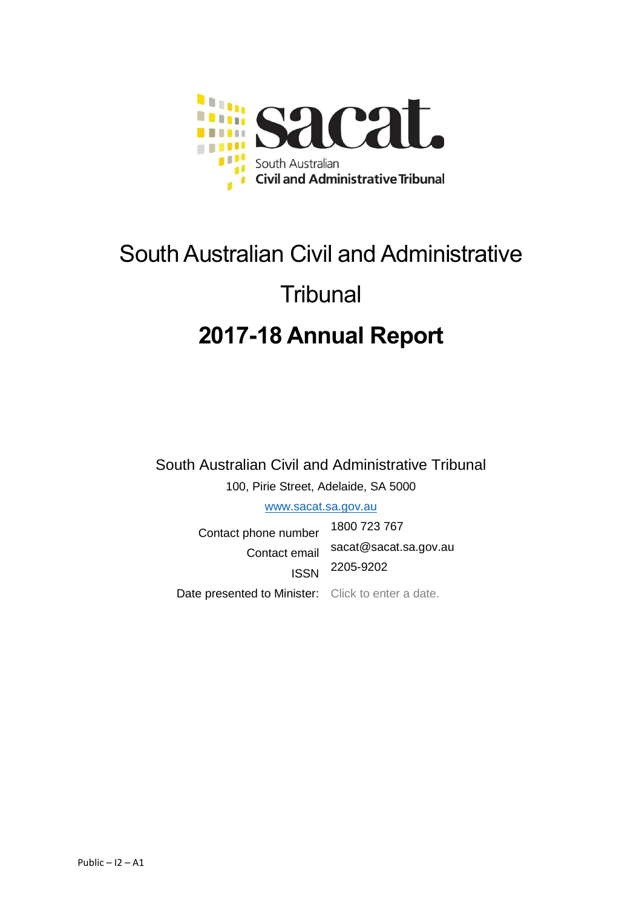

# South Australian Civil and Administrative **Tribunal 2017-18 Annual Report**

South Australian Civil and Administrative Tribunal 100, Pirie Street, Adelaide, SA 5000

www.sacat.sa.gov.au

Contact phone number 1800 723 767 Contact email sacat@sacat.sa.gov.au ISSN 2205-9202 Date presented to Minister: Click to enter a date.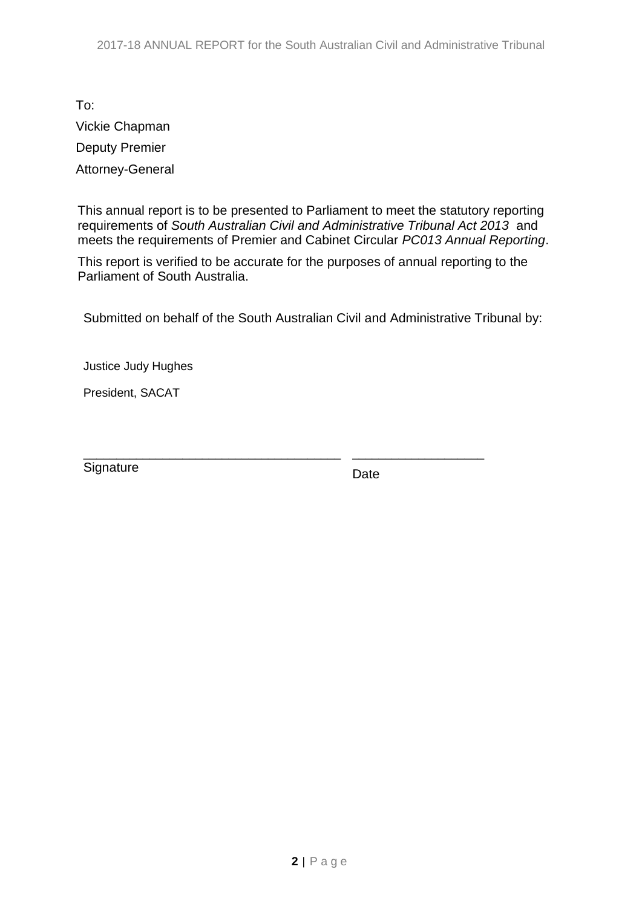To: Vickie Chapman Deputy Premier Attorney-General

This annual report is to be presented to Parliament to meet the statutory reporting requirements of *South Australian Civil and Administrative Tribunal Act 2013* and meets the requirements of Premier and Cabinet Circular *PC013 Annual Reporting*.

This report is verified to be accurate for the purposes of annual reporting to the Parliament of South Australia.

Submitted on behalf of the South Australian Civil and Administrative Tribunal by:

Justice Judy Hughes

President, SACAT

\_\_\_\_\_\_\_\_\_\_\_\_\_\_\_\_\_\_\_\_\_\_\_\_\_\_\_\_\_\_\_\_\_\_\_\_\_\_\_ **Signature** 

Date

\_\_\_\_\_\_\_\_\_\_\_\_\_\_\_\_\_\_\_\_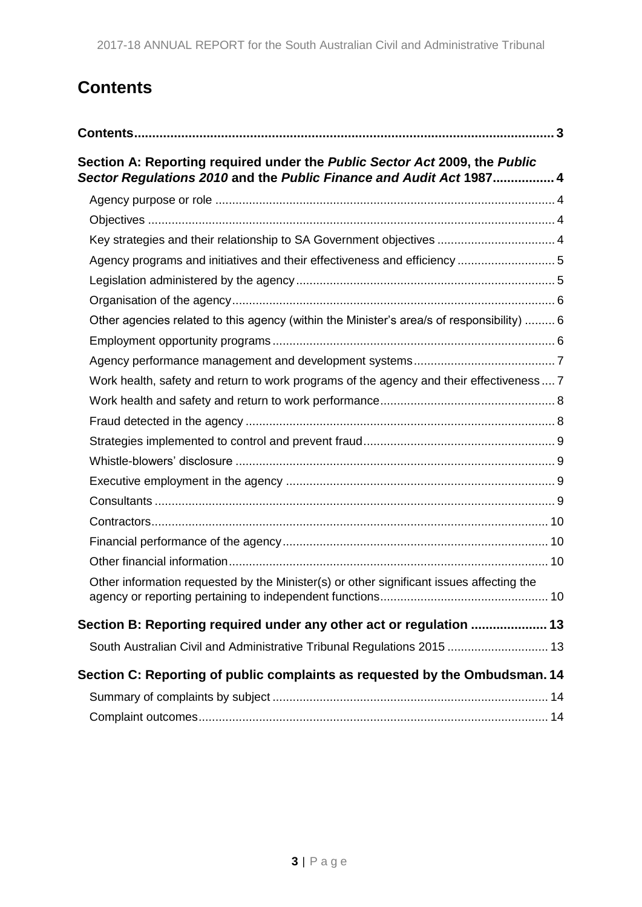# <span id="page-2-0"></span>**Contents**

| Section A: Reporting required under the Public Sector Act 2009, the Public<br>Sector Regulations 2010 and the Public Finance and Audit Act 1987 4 |  |
|---------------------------------------------------------------------------------------------------------------------------------------------------|--|
|                                                                                                                                                   |  |
|                                                                                                                                                   |  |
| Key strategies and their relationship to SA Government objectives  4                                                                              |  |
| Agency programs and initiatives and their effectiveness and efficiency  5                                                                         |  |
|                                                                                                                                                   |  |
|                                                                                                                                                   |  |
| Other agencies related to this agency (within the Minister's area/s of responsibility)  6                                                         |  |
|                                                                                                                                                   |  |
|                                                                                                                                                   |  |
| Work health, safety and return to work programs of the agency and their effectiveness  7                                                          |  |
|                                                                                                                                                   |  |
|                                                                                                                                                   |  |
|                                                                                                                                                   |  |
|                                                                                                                                                   |  |
|                                                                                                                                                   |  |
|                                                                                                                                                   |  |
|                                                                                                                                                   |  |
|                                                                                                                                                   |  |
|                                                                                                                                                   |  |
| Other information requested by the Minister(s) or other significant issues affecting the                                                          |  |
| Section B: Reporting required under any other act or regulation  13                                                                               |  |
| South Australian Civil and Administrative Tribunal Regulations 2015  13                                                                           |  |
| Section C: Reporting of public complaints as requested by the Ombudsman. 14                                                                       |  |
|                                                                                                                                                   |  |
|                                                                                                                                                   |  |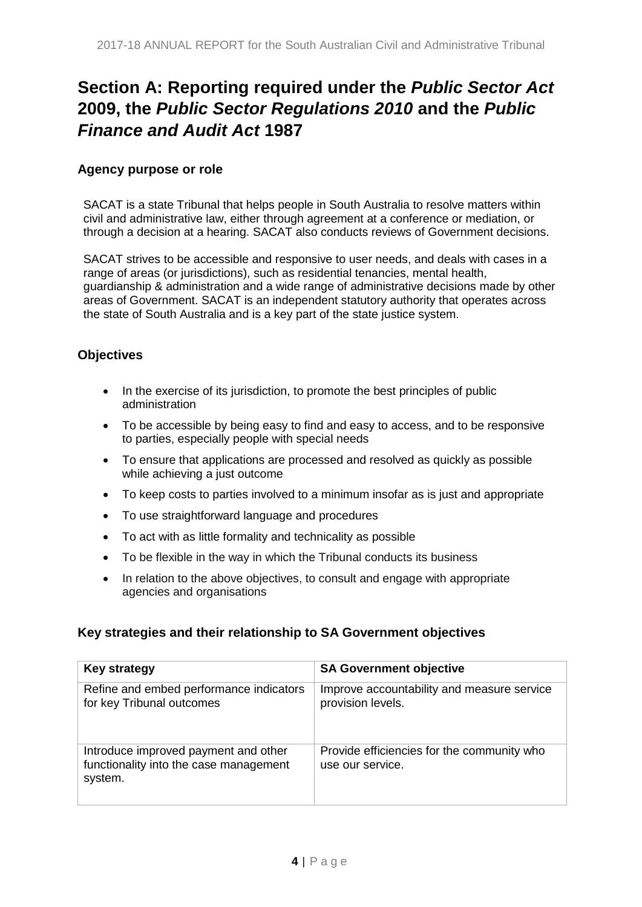# <span id="page-3-0"></span>**Section A: Reporting required under the** *Public Sector Act* **2009, the** *Public Sector Regulations 2010* **and the** *Public Finance and Audit Act* **1987**

#### <span id="page-3-1"></span>**Agency purpose or role**

SACAT is a state Tribunal that helps people in South Australia to resolve matters within civil and administrative law, either through agreement at a conference or mediation, or through a decision at a hearing. SACAT also conducts reviews of Government decisions.

SACAT strives to be accessible and responsive to user needs, and deals with cases in a range of areas (or jurisdictions), such as residential tenancies, mental health, guardianship & administration and a wide range of administrative decisions made by other areas of Government. SACAT is an independent statutory authority that operates across the state of South Australia and is a key part of the state justice system.

#### <span id="page-3-2"></span>**Objectives**

- In the exercise of its jurisdiction, to promote the best principles of public administration
- To be accessible by being easy to find and easy to access, and to be responsive to parties, especially people with special needs
- To ensure that applications are processed and resolved as quickly as possible while achieving a just outcome
- To keep costs to parties involved to a minimum insofar as is just and appropriate
- To use straightforward language and procedures
- To act with as little formality and technicality as possible
- To be flexible in the way in which the Tribunal conducts its business
- In relation to the above objectives, to consult and engage with appropriate agencies and organisations

#### <span id="page-3-3"></span>**Key strategies and their relationship to SA Government objectives**

| <b>Key strategy</b>                                                                       | <b>SA Government objective</b>                                  |
|-------------------------------------------------------------------------------------------|-----------------------------------------------------------------|
| Refine and embed performance indicators<br>for key Tribunal outcomes                      | Improve accountability and measure service<br>provision levels. |
| Introduce improved payment and other<br>functionality into the case management<br>system. | Provide efficiencies for the community who<br>use our service.  |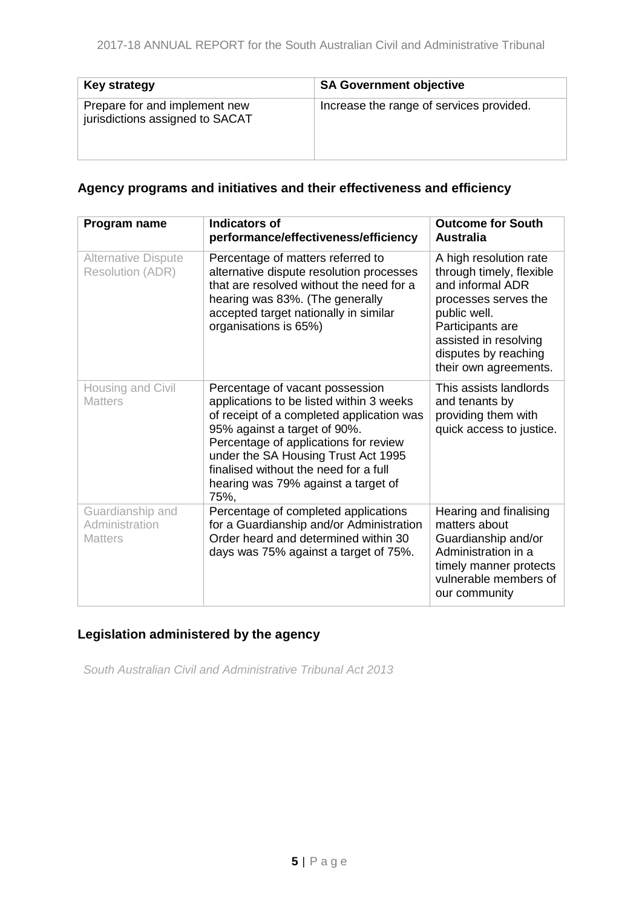| <b>Key strategy</b>                                              | <b>SA Government objective</b>           |
|------------------------------------------------------------------|------------------------------------------|
| Prepare for and implement new<br>jurisdictions assigned to SACAT | Increase the range of services provided. |

# <span id="page-4-0"></span>**Agency programs and initiatives and their effectiveness and efficiency**

| Program name                                          | <b>Indicators of</b><br>performance/effectiveness/efficiency                                                                                                                                                                                                                                                                     | <b>Outcome for South</b><br><b>Australia</b>                                                                                                                                                                 |
|-------------------------------------------------------|----------------------------------------------------------------------------------------------------------------------------------------------------------------------------------------------------------------------------------------------------------------------------------------------------------------------------------|--------------------------------------------------------------------------------------------------------------------------------------------------------------------------------------------------------------|
| <b>Alternative Dispute</b><br><b>Resolution (ADR)</b> | Percentage of matters referred to<br>alternative dispute resolution processes<br>that are resolved without the need for a<br>hearing was 83%. (The generally<br>accepted target nationally in similar<br>organisations is 65%)                                                                                                   | A high resolution rate<br>through timely, flexible<br>and informal ADR<br>processes serves the<br>public well.<br>Participants are<br>assisted in resolving<br>disputes by reaching<br>their own agreements. |
| Housing and Civil<br><b>Matters</b>                   | Percentage of vacant possession<br>applications to be listed within 3 weeks<br>of receipt of a completed application was<br>95% against a target of 90%.<br>Percentage of applications for review<br>under the SA Housing Trust Act 1995<br>finalised without the need for a full<br>hearing was 79% against a target of<br>75%. | This assists landlords<br>and tenants by<br>providing them with<br>quick access to justice.                                                                                                                  |
| Guardianship and<br>Administration<br><b>Matters</b>  | Percentage of completed applications<br>for a Guardianship and/or Administration<br>Order heard and determined within 30<br>days was 75% against a target of 75%.                                                                                                                                                                | Hearing and finalising<br>matters about<br>Guardianship and/or<br>Administration in a<br>timely manner protects<br>vulnerable members of<br>our community                                                    |

# <span id="page-4-1"></span>**Legislation administered by the agency**

<span id="page-4-2"></span>*South Australian Civil and Administrative Tribunal Act 2013*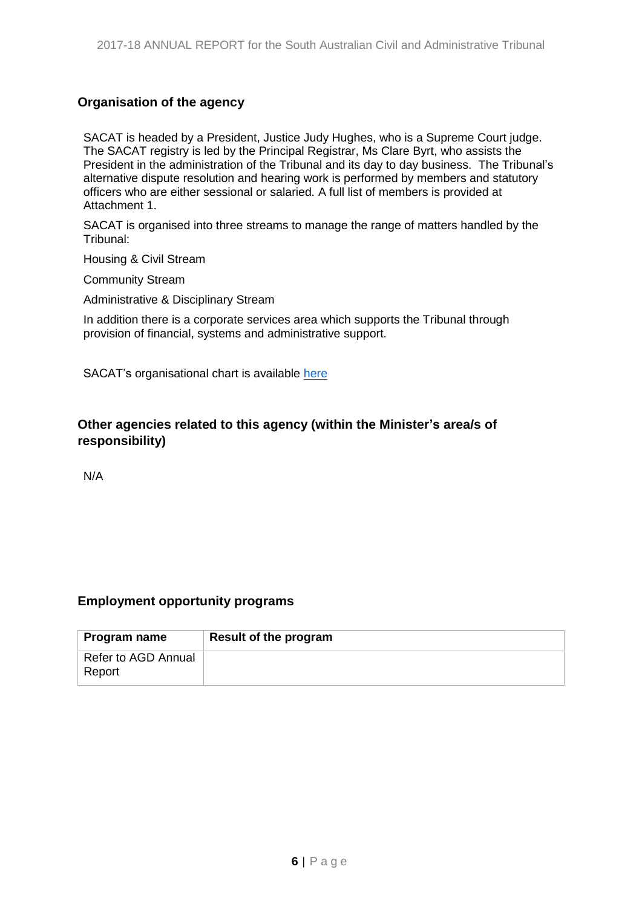## **Organisation of the agency**

SACAT is headed by a President, Justice Judy Hughes, who is a Supreme Court judge. The SACAT registry is led by the Principal Registrar, Ms Clare Byrt, who assists the President in the administration of the Tribunal and its day to day business. The Tribunal's alternative dispute resolution and hearing work is performed by members and statutory officers who are either sessional or salaried. A full list of members is provided at Attachment 1.

SACAT is organised into three streams to manage the range of matters handled by the Tribunal:

Housing & Civil Stream

Community Stream

Administrative & Disciplinary Stream

In addition there is a corporate services area which supports the Tribunal through provision of financial, systems and administrative support.

SACAT's organisational chart is availabl[e here](http://www.sacat.sa.gov.au/upload/SHORT%20ORG%20May%202020.pdf)

#### <span id="page-5-0"></span>**Other agencies related to this agency (within the Minister's area/s of responsibility)**

N/A

#### <span id="page-5-1"></span>**Employment opportunity programs**

| Program name                  | <b>Result of the program</b> |
|-------------------------------|------------------------------|
| Refer to AGD Annual<br>Report |                              |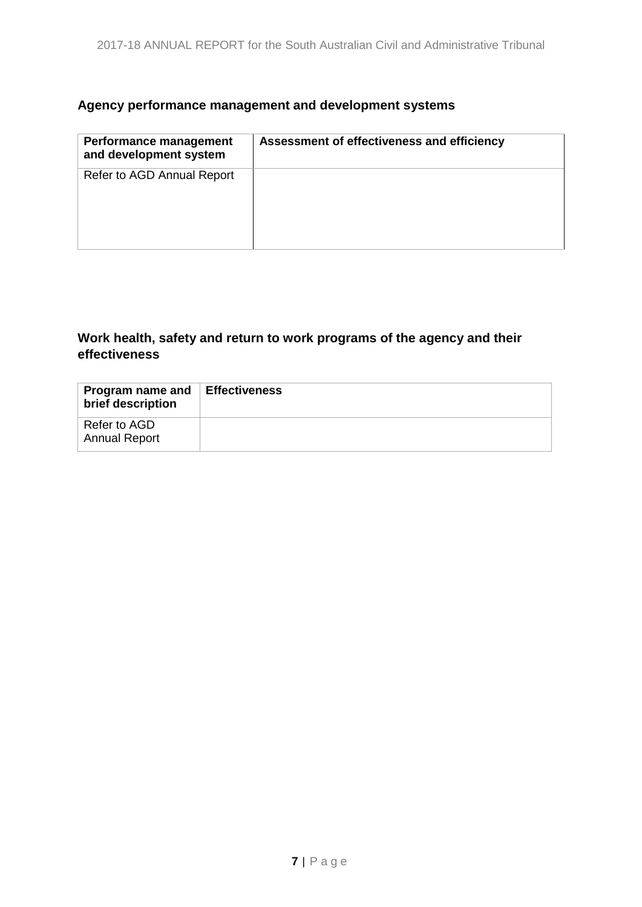# <span id="page-6-0"></span>**Agency performance management and development systems**

| <b>Performance management</b><br>and development system | Assessment of effectiveness and efficiency |
|---------------------------------------------------------|--------------------------------------------|
| Refer to AGD Annual Report                              |                                            |

## <span id="page-6-1"></span>**Work health, safety and return to work programs of the agency and their effectiveness**

| Program name and<br>brief description | ∣ Effectiveness |
|---------------------------------------|-----------------|
| Refer to AGD<br><b>Annual Report</b>  |                 |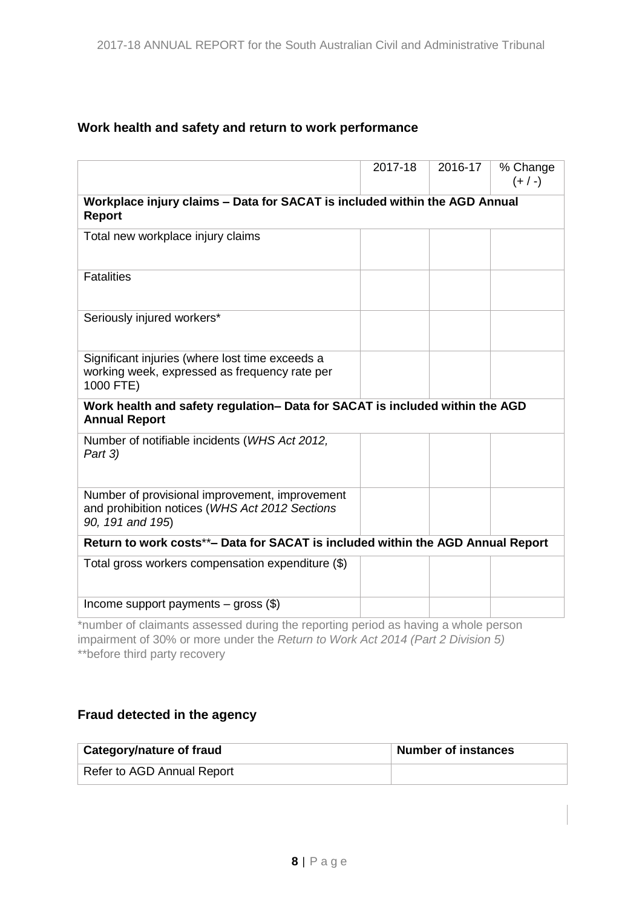## <span id="page-7-0"></span>**Work health and safety and return to work performance**

|                                                                                                                      | 2017-18                                                                    | 2016-17 | % Change<br>$(+ / -)$ |  |
|----------------------------------------------------------------------------------------------------------------------|----------------------------------------------------------------------------|---------|-----------------------|--|
| <b>Report</b>                                                                                                        | Workplace injury claims - Data for SACAT is included within the AGD Annual |         |                       |  |
| Total new workplace injury claims                                                                                    |                                                                            |         |                       |  |
| <b>Fatalities</b>                                                                                                    |                                                                            |         |                       |  |
| Seriously injured workers*                                                                                           |                                                                            |         |                       |  |
| Significant injuries (where lost time exceeds a<br>working week, expressed as frequency rate per<br>1000 FTE)        |                                                                            |         |                       |  |
| Work health and safety regulation- Data for SACAT is included within the AGD<br><b>Annual Report</b>                 |                                                                            |         |                       |  |
| Number of notifiable incidents (WHS Act 2012,<br>Part 3)                                                             |                                                                            |         |                       |  |
| Number of provisional improvement, improvement<br>and prohibition notices (WHS Act 2012 Sections<br>90, 191 and 195) |                                                                            |         |                       |  |
| Return to work costs**- Data for SACAT is included within the AGD Annual Report                                      |                                                                            |         |                       |  |
| Total gross workers compensation expenditure (\$)                                                                    |                                                                            |         |                       |  |
| Income support payments $-$ gross $(\$)$                                                                             |                                                                            |         |                       |  |

\*number of claimants assessed during the reporting period as having a whole person impairment of 30% or more under the *Return to Work Act 2014 (Part 2 Division 5)* \*\*before third party recovery

# <span id="page-7-1"></span>**Fraud detected in the agency**

| <b>Category/nature of fraud</b> | Number of instances |
|---------------------------------|---------------------|
| Refer to AGD Annual Report      |                     |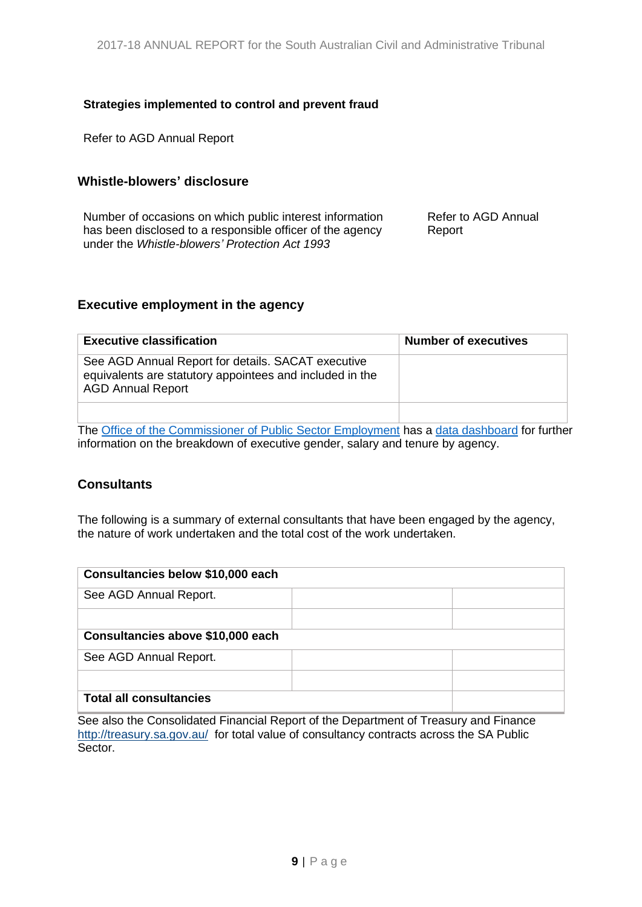#### <span id="page-8-0"></span>**Strategies implemented to control and prevent fraud**

Refer to AGD Annual Report

#### <span id="page-8-1"></span>**Whistle-blowers' disclosure**

Number of occasions on which public interest information has been disclosed to a responsible officer of the agency under the *Whistle-blowers' Protection Act 1993*

Refer to AGD Annual Report

#### <span id="page-8-2"></span>**Executive employment in the agency**

| <b>Executive classification</b>                                                                                                            | <b>Number of executives</b> |
|--------------------------------------------------------------------------------------------------------------------------------------------|-----------------------------|
| See AGD Annual Report for details. SACAT executive<br>equivalents are statutory appointees and included in the<br><b>AGD Annual Report</b> |                             |
|                                                                                                                                            |                             |

The [Office of the Commissioner of Public Sector Employment](https://publicsector.sa.gov.au/) has a [data dashboard](https://www.publicsector.sa.gov.au/about/Our-Work/Reporting) for further information on the breakdown of executive gender, salary and tenure by agency.

#### <span id="page-8-3"></span>**Consultants**

The following is a summary of external consultants that have been engaged by the agency, the nature of work undertaken and the total cost of the work undertaken.

| Consultancies below \$10,000 each |  |  |  |
|-----------------------------------|--|--|--|
| See AGD Annual Report.            |  |  |  |
|                                   |  |  |  |
| Consultancies above \$10,000 each |  |  |  |
| See AGD Annual Report.            |  |  |  |
|                                   |  |  |  |
| <b>Total all consultancies</b>    |  |  |  |

See also the Consolidated Financial Report of the Department of Treasury and Finance <http://treasury.sa.gov.au/>for total value of consultancy contracts across the SA Public Sector.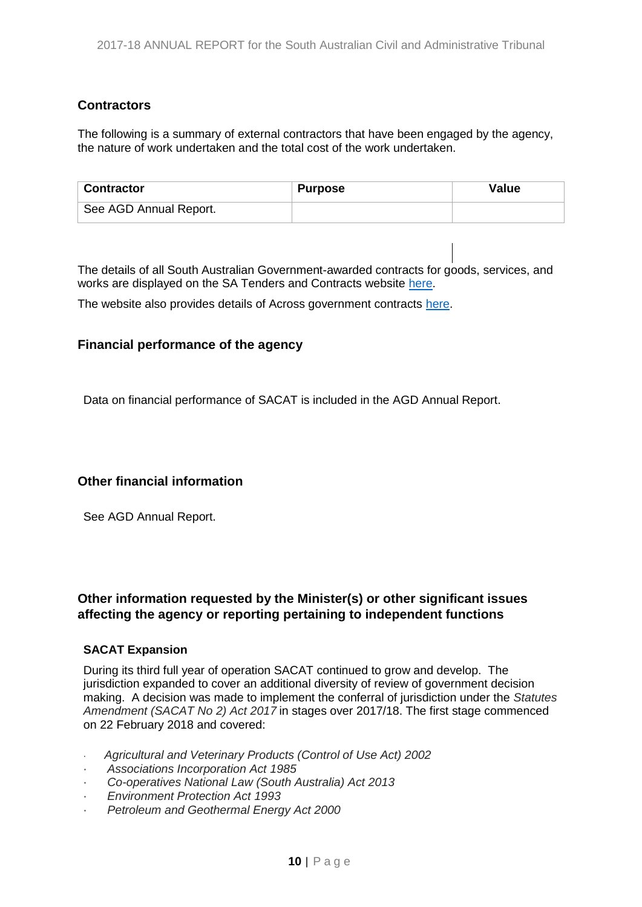#### <span id="page-9-0"></span>**Contractors**

The following is a summary of external contractors that have been engaged by the agency, the nature of work undertaken and the total cost of the work undertaken.

| <b>Contractor</b>      | <b>Purpose</b> | Value |
|------------------------|----------------|-------|
| See AGD Annual Report. |                |       |

The details of all South Australian Government-awarded contracts for goods, services, and works are displayed on the SA Tenders and Contracts website [here.](https://www.tenders.sa.gov.au/tenders/contract/list.do?action=contract-view)

The website also provides details of Across government contracts [here.](https://www.tenders.sa.gov.au/tenders/contract/list.do?action=across-gov-contract-view)

#### <span id="page-9-1"></span>**Financial performance of the agency**

Data on financial performance of SACAT is included in the AGD Annual Report.

#### <span id="page-9-2"></span>**Other financial information**

See AGD Annual Report.

#### <span id="page-9-3"></span>**Other information requested by the Minister(s) or other significant issues affecting the agency or reporting pertaining to independent functions**

#### **SACAT Expansion**

During its third full year of operation SACAT continued to grow and develop. The jurisdiction expanded to cover an additional diversity of review of government decision making. A decision was made to implement the conferral of jurisdiction under the *Statutes Amendment (SACAT No 2) Act 2017* in stages over 2017/18. The first stage commenced on 22 February 2018 and covered:

- · *Agricultural and Veterinary Products (Control of Use Act) 2002*
- · *Associations Incorporation Act 1985*
- · *Co-operatives National Law (South Australia) Act 2013*
- · *Environment Protection Act 1993*
- · *Petroleum and Geothermal Energy Act 2000*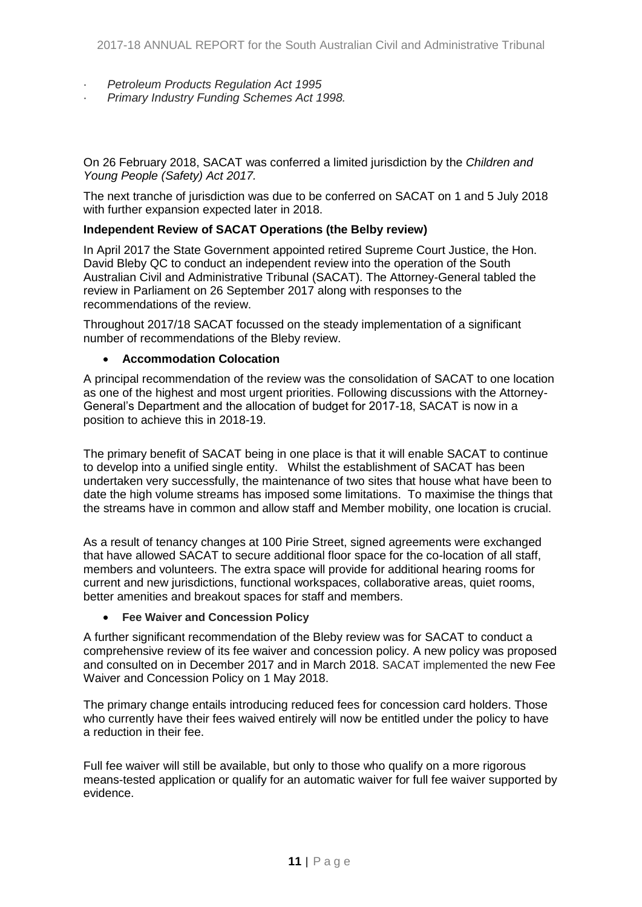- · *Petroleum Products Regulation Act 1995*
- · *Primary Industry Funding Schemes Act 1998.*

On 26 February 2018, SACAT was conferred a limited jurisdiction by the *Children and Young People (Safety) Act 2017.*

The next tranche of jurisdiction was due to be conferred on SACAT on 1 and 5 July 2018 with further expansion expected later in 2018.

#### **Independent Review of SACAT Operations (the Belby review)**

In April 2017 the State Government appointed retired Supreme Court Justice, the Hon. David Bleby QC to conduct an independent review into the operation of the South Australian Civil and Administrative Tribunal (SACAT). The Attorney-General tabled the review in Parliament on 26 September 2017 along with responses to the recommendations of the review.

Throughout 2017/18 SACAT focussed on the steady implementation of a significant number of recommendations of the Bleby review.

#### **Accommodation Colocation**

A principal recommendation of the review was the consolidation of SACAT to one location as one of the highest and most urgent priorities. Following discussions with the Attorney-General's Department and the allocation of budget for 2017-18, SACAT is now in a position to achieve this in 2018-19.

The primary benefit of SACAT being in one place is that it will enable SACAT to continue to develop into a unified single entity. Whilst the establishment of SACAT has been undertaken very successfully, the maintenance of two sites that house what have been to date the high volume streams has imposed some limitations. To maximise the things that the streams have in common and allow staff and Member mobility, one location is crucial.

As a result of tenancy changes at 100 Pirie Street, signed agreements were exchanged that have allowed SACAT to secure additional floor space for the co-location of all staff, members and volunteers. The extra space will provide for additional hearing rooms for current and new jurisdictions, functional workspaces, collaborative areas, quiet rooms, better amenities and breakout spaces for staff and members.

#### **Fee Waiver and Concession Policy**

A further significant recommendation of the Bleby review was for SACAT to conduct a comprehensive review of its fee waiver and concession policy. A new policy was proposed and consulted on in December 2017 and in March 2018. SACAT implemented the new Fee Waiver and Concession Policy on 1 May 2018.

The primary change entails introducing reduced fees for concession card holders. Those who currently have their fees waived entirely will now be entitled under the policy to have a reduction in their fee.

Full fee waiver will still be available, but only to those who qualify on a more rigorous means-tested application or qualify for an automatic waiver for full fee waiver supported by evidence.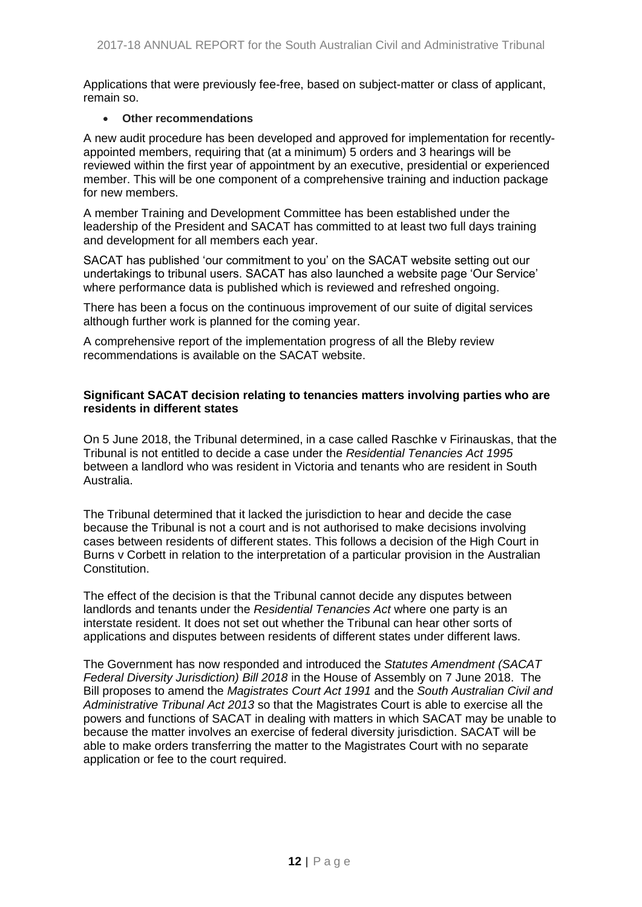Applications that were previously fee-free, based on subject-matter or class of applicant, remain so.

#### **Other recommendations**

A new audit procedure has been developed and approved for implementation for recentlyappointed members, requiring that (at a minimum) 5 orders and 3 hearings will be reviewed within the first year of appointment by an executive, presidential or experienced member. This will be one component of a comprehensive training and induction package for new members.

A member Training and Development Committee has been established under the leadership of the President and SACAT has committed to at least two full days training and development for all members each year.

SACAT has published 'our commitment to you' on the SACAT website setting out our undertakings to tribunal users. SACAT has also launched a website page 'Our Service' where performance data is published which is reviewed and refreshed ongoing.

There has been a focus on the continuous improvement of our suite of digital services although further work is planned for the coming year.

A comprehensive report of the implementation progress of all the Bleby review recommendations is available on the SACAT website.

#### **Significant SACAT decision relating to tenancies matters involving parties who are residents in different states**

On 5 June 2018, the Tribunal determined, in a case called Raschke v Firinauskas, that the Tribunal is not entitled to decide a case under the *Residential Tenancies Act 1995* between a landlord who was resident in Victoria and tenants who are resident in South Australia.

The Tribunal determined that it lacked the jurisdiction to hear and decide the case because the Tribunal is not a court and is not authorised to make decisions involving cases between residents of different states. This follows a decision of the High Court in Burns v Corbett in relation to the interpretation of a particular provision in the Australian Constitution.

The effect of the decision is that the Tribunal cannot decide any disputes between landlords and tenants under the *Residential Tenancies Act* where one party is an interstate resident. It does not set out whether the Tribunal can hear other sorts of applications and disputes between residents of different states under different laws.

The Government has now responded and introduced the *Statutes Amendment (SACAT Federal Diversity Jurisdiction) Bill 2018* in the House of Assembly on 7 June 2018. The Bill proposes to amend the *Magistrates Court Act 1991* and the *South Australian Civil and Administrative Tribunal Act 2013* so that the Magistrates Court is able to exercise all the powers and functions of SACAT in dealing with matters in which SACAT may be unable to because the matter involves an exercise of federal diversity jurisdiction. SACAT will be able to make orders transferring the matter to the Magistrates Court with no separate application or fee to the court required.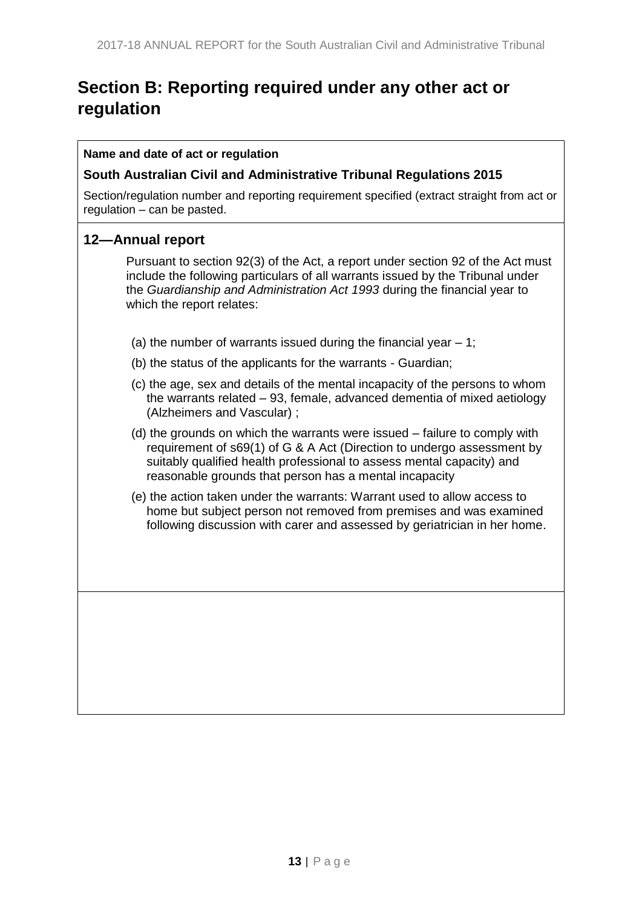# <span id="page-12-0"></span>**Section B: Reporting required under any other act or regulation**

#### **Name and date of act or regulation**

#### <span id="page-12-1"></span>**South Australian Civil and Administrative Tribunal Regulations 2015**

Section/regulation number and reporting requirement specified (extract straight from act or regulation – can be pasted.

## **12—Annual report**

Pursuant to section 92(3) of the Act, a report under section 92 of the Act must include the following particulars of all warrants issued by the Tribunal under the *[Guardianship and Administration Act](http://www.legislation.sa.gov.au/index.aspx?action=legref&type=act&legtitle=Guardianship%20and%20Administration%20Act%201993) 1993* during the financial year to which the report relates:

- (a) the number of warrants issued during the financial year  $-1$ ;
- (b) the status of the applicants for the warrants Guardian;
- (c) the age, sex and details of the mental incapacity of the persons to whom the warrants related – 93, female, advanced dementia of mixed aetiology (Alzheimers and Vascular) ;
- (d) the grounds on which the warrants were issued failure to comply with requirement of s69(1) of G & A Act (Direction to undergo assessment by suitably qualified health professional to assess mental capacity) and reasonable grounds that person has a mental incapacity
- (e) the action taken under the warrants: Warrant used to allow access to home but subject person not removed from premises and was examined following discussion with carer and assessed by geriatrician in her home.